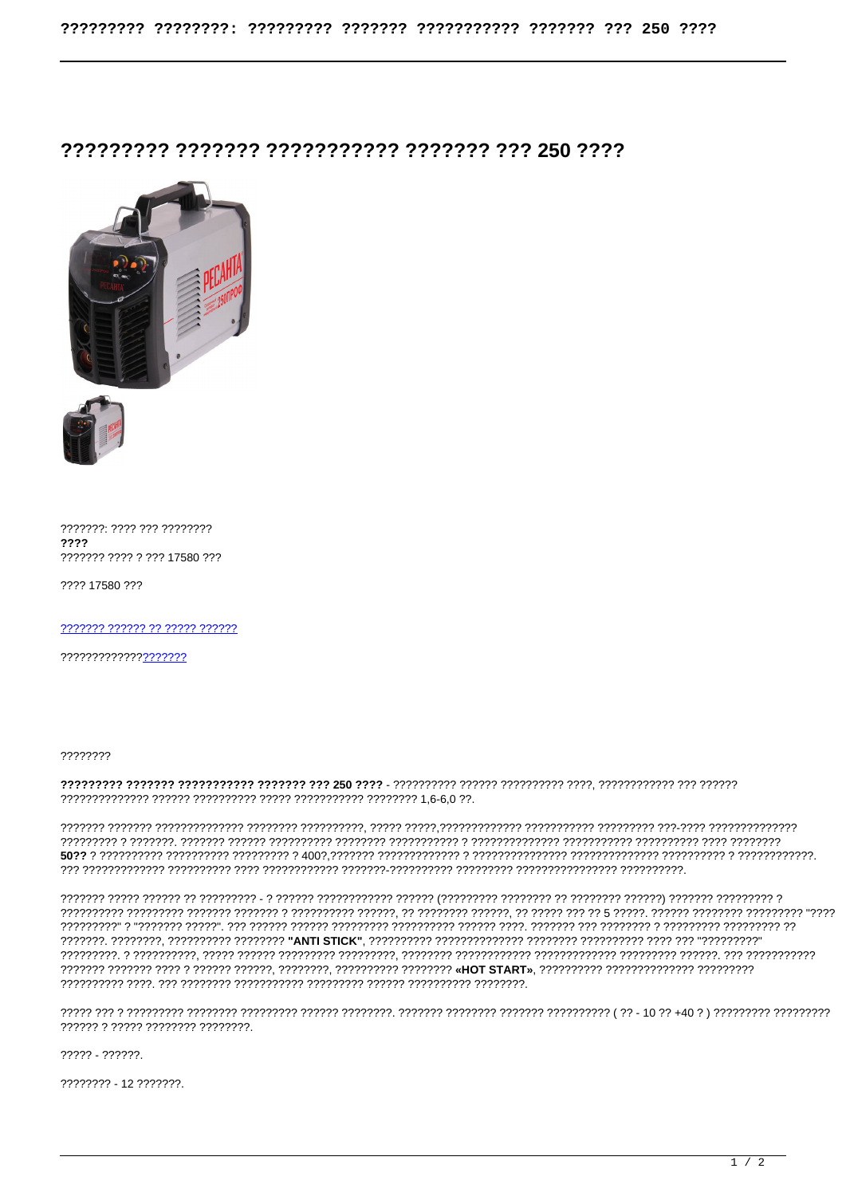## 77777777 7777777 77777777777 7777777 777 750 7777



???????: ???? ??? ???????? ???? 2222222 2222 2222 17580 222

???? 17580 ???

??????? ?????? ?? ????? ??????

??????????????<mark>????????</mark>

77777777

## 

, המממממ מממ בידות המממממות המממממות המממממות המממממממות הממממממות המממממות המממין הממממות הממממות המממממות המ 

ו וווירוידו ווירודו ווירודו ווירודו ווירודוו ווירודווירון ווירודו וירודווירודו ווירוד ו- ווירודו וו ווירוד ווירוד ווירודו רד דרדרדרדרדר דרדרדרדרד ד דרדרדרד רדר דרדרדרד ברדרד דרדרדר דרדרדרד דרדרדר דרדרד דרדרד דרדר דרד ביד "דרדרד דרדרדרד" ד"דרדרדרד 

????? - ??????.

???????? - 12 ???????